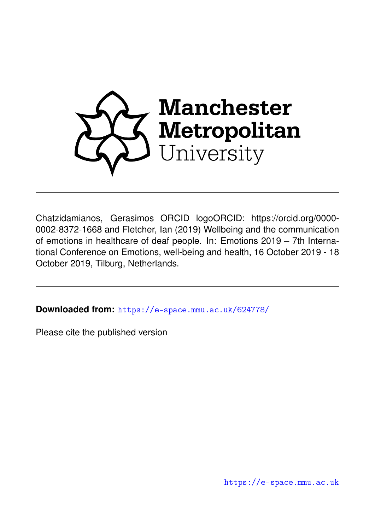

Chatzidamianos, Gerasimos ORCID logoORCID: https://orcid.org/0000- 0002-8372-1668 and Fletcher, Ian (2019) Wellbeing and the communication of emotions in healthcare of deaf people. In: Emotions 2019 – 7th International Conference on Emotions, well-being and health, 16 October 2019 - 18 October 2019, Tilburg, Netherlands.

**Downloaded from:** <https://e-space.mmu.ac.uk/624778/>

Please cite the published version

<https://e-space.mmu.ac.uk>